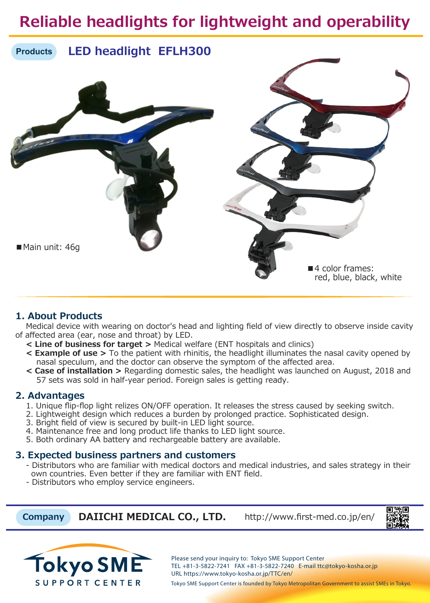## **Reliable headlights for lightweight and operability**



### **1. About Products**

 Medical device with wearing on doctor's head and lighting field of view directly to observe inside cavity of affected area (ear, nose and throat) by LED.

- **< Line of business for target >** Medical welfare (ENT hospitals and clinics)
- **< Example of use >** To the patient with rhinitis, the headlight illuminates the nasal cavity opened by nasal speculum, and the doctor can observe the symptom of the affected area.
- **< Case of installation >** Regarding domestic sales, the headlight was launched on August, 2018 and 57 sets was sold in half-year period. Foreign sales is getting ready.

### **2. Advantages**

- 1. Unique flip-flop light relizes ON/OFF operation. It releases the stress caused by seeking switch.
- 2. Lightweight design which reduces a burden by prolonged practice. Sophisticated design.
- 3. Bright field of view is secured by built-in LED light source.
- 4. Maintenance free and long product life thanks to LED light source.
- 5. Both ordinary AA battery and rechargeable battery are available.

### **3. Expected business partners and customers**

- Distributors who are familiar with medical doctors and medical industries, and sales strategy in their own countries. Even better if they are familiar with ENT field.
- Distributors who employ service engineers.

 **Company DAIICHI MEDICAL CO., LTD.** http://www.first-med.co.jp/en/





Tokyo SME Support Center is founded by Tokyo Metropolitan Government to assist SMEs in Tokyo.